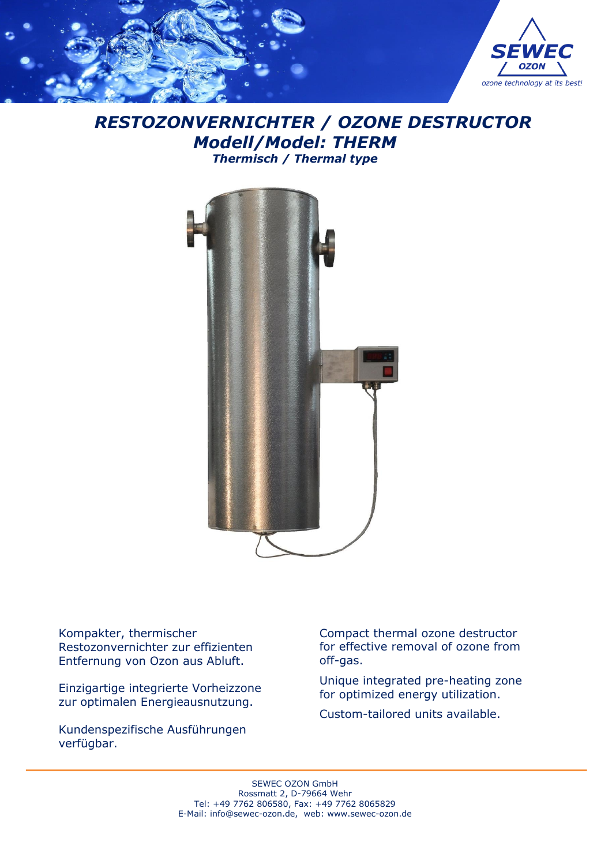

# *RESTOZONVERNICHTER / OZONE DESTRUCTOR Modell/Model: THERM Thermisch / Thermal type*



Kompakter, thermischer Restozonvernichter zur effizienten Entfernung von Ozon aus Abluft.

Einzigartige integrierte Vorheizzone zur optimalen Energieausnutzung.

Kundenspezifische Ausführungen verfügbar.

Compact thermal ozone destructor for effective removal of ozone from off-gas.

Unique integrated pre-heating zone for optimized energy utilization.

Custom-tailored units available.